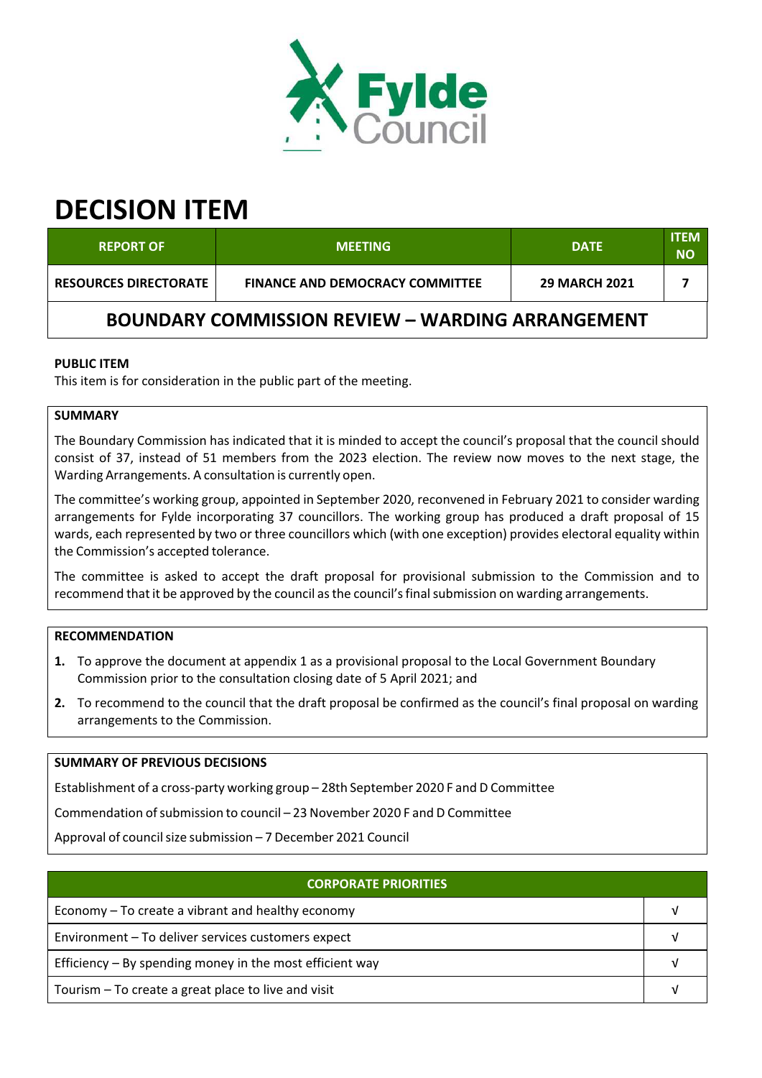

# **DECISION ITEM**

| <b>REPORT OF</b>                                        | <b>MEETING</b>                         | <b>DATE</b>          | <b>ITEM</b><br>ΝO |
|---------------------------------------------------------|----------------------------------------|----------------------|-------------------|
| <b>RESOURCES DIRECTORATE</b>                            | <b>FINANCE AND DEMOCRACY COMMITTEE</b> | <b>29 MARCH 2021</b> |                   |
| <b>BOUNDARY COMMISSION REVIEW - WARDING ARRANGEMENT</b> |                                        |                      |                   |

# **PUBLIC ITEM**

This item is for consideration in the public part of the meeting.

# **SUMMARY**

The Boundary Commission has indicated that it is minded to accept the council's proposal that the council should consist of 37, instead of 51 members from the 2023 election. The review now moves to the next stage, the Warding Arrangements. A consultation is currently open.

The committee's working group, appointed in September 2020, reconvened in February 2021 to consider warding arrangements for Fylde incorporating 37 councillors. The working group has produced a draft proposal of 15 wards, each represented by two or three councillors which (with one exception) provides electoral equality within the Commission's accepted tolerance.

The committee is asked to accept the draft proposal for provisional submission to the Commission and to recommend that it be approved by the council asthe council'sfinalsubmission on warding arrangements.

## **RECOMMENDATION**

- **1.** To approve the document at appendix 1 as a provisional proposal to the Local Government Boundary Commission prior to the consultation closing date of 5 April 2021; and
- **2.** To recommend to the council that the draft proposal be confirmed as the council's final proposal on warding arrangements to the Commission.

## **SUMMARY OF PREVIOUS DECISIONS**

Establishment of a cross‐party working group – 28th September 2020 F and D Committee

Commendation ofsubmission to council – 23 November 2020 F and D Committee

Approval of council size submission – 7 December 2021 Council

| <b>CORPORATE PRIORITIES</b>                                |  |  |
|------------------------------------------------------------|--|--|
| Economy – To create a vibrant and healthy economy          |  |  |
| Environment - To deliver services customers expect         |  |  |
| Efficiency $-$ By spending money in the most efficient way |  |  |
| Tourism – To create a great place to live and visit        |  |  |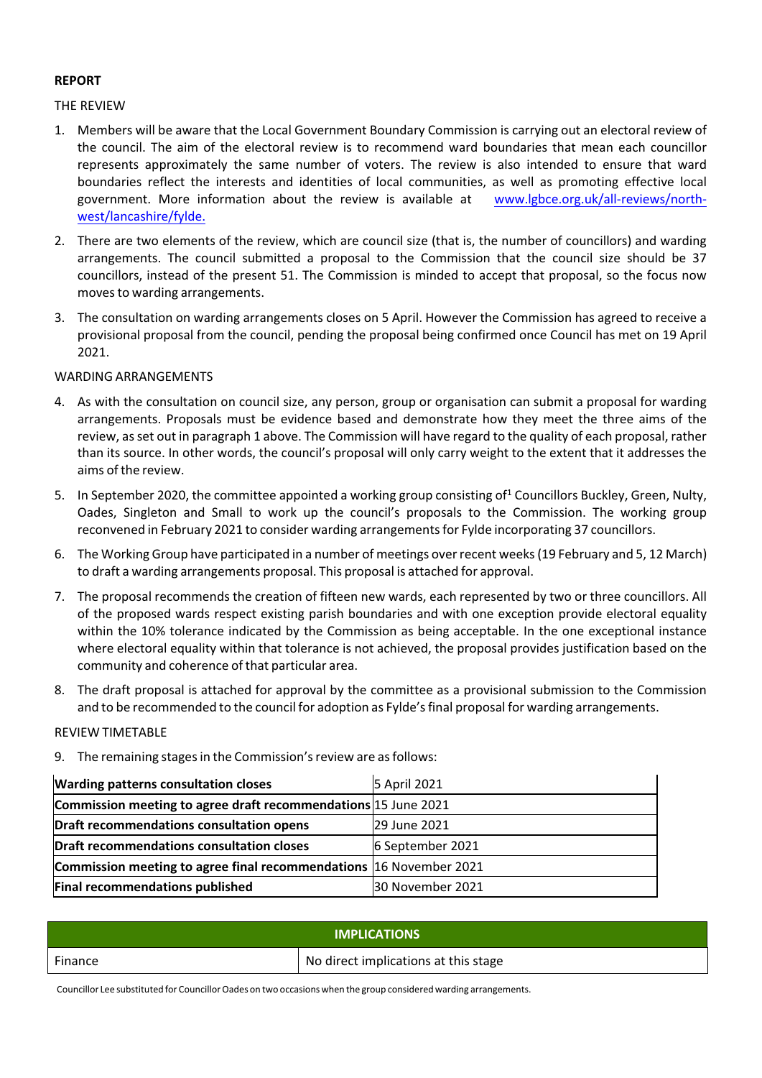#### **REPORT**

#### THE REVIEW

- 1. Members will be aware that the Local Government Boundary Commission is carrying out an electoral review of the council. The aim of the electoral review is to recommend ward boundaries that mean each councillor represents approximately the same number of voters. The review is also intended to ensure that ward boundaries reflect the interests and identities of local communities, as well as promoting effective local government. More information about the review is available at www.lgbce.org.uk/all-reviews/northwest/lancashire/fylde.
- 2. There are two elements of the review, which are council size (that is, the number of councillors) and warding arrangements. The council submitted a proposal to the Commission that the council size should be 37 councillors, instead of the present 51. The Commission is minded to accept that proposal, so the focus now moves to warding arrangements.
- 3. The consultation on warding arrangements closes on 5 April. However the Commission has agreed to receive a provisional proposal from the council, pending the proposal being confirmed once Council has met on 19 April 2021.

## WARDING ARRANGEMENTS

- 4. As with the consultation on council size, any person, group or organisation can submit a proposal for warding arrangements. Proposals must be evidence based and demonstrate how they meet the three aims of the review, asset out in paragraph 1 above. The Commission will have regard to the quality of each proposal, rather than its source. In other words, the council's proposal will only carry weight to the extent that it addresses the aims of the review.
- 5. In September 2020, the committee appointed a working group consisting of<sup>1</sup> Councillors Buckley, Green, Nulty, Oades, Singleton and Small to work up the council's proposals to the Commission. The working group reconvened in February 2021 to consider warding arrangementsfor Fylde incorporating 37 councillors.
- 6. The Working Group have participated in a number of meetings overrecent weeks(19 February and 5, 12 March) to draft a warding arrangements proposal. This proposal is attached for approval.
- 7. The proposal recommends the creation of fifteen new wards, each represented by two or three councillors. All of the proposed wards respect existing parish boundaries and with one exception provide electoral equality within the 10% tolerance indicated by the Commission as being acceptable. In the one exceptional instance where electoral equality within that tolerance is not achieved, the proposal provides justification based on the community and coherence of that particular area.
- 8. The draft proposal is attached for approval by the committee as a provisional submission to the Commission and to be recommended to the council for adoption as Fylde's final proposal for warding arrangements.

#### REVIEW TIMETABLE

9. The remaining stages in the Commission's review are as follows:

| Warding patterns consultation closes                               | 5 April 2021     |
|--------------------------------------------------------------------|------------------|
| Commission meeting to agree draft recommendations 15 June 2021     |                  |
| Draft recommendations consultation opens                           | 29 June 2021     |
| Draft recommendations consultation closes                          | 6 September 2021 |
| Commission meeting to agree final recommendations 16 November 2021 |                  |
| Final recommendations published                                    | 30 November 2021 |

| <b>IMPLICATIONS</b> |                                      |  |
|---------------------|--------------------------------------|--|
| Finance             | No direct implications at this stage |  |

Councillor Lee substituted for Councillor Oades on two occasions when the group considered warding arrangements.